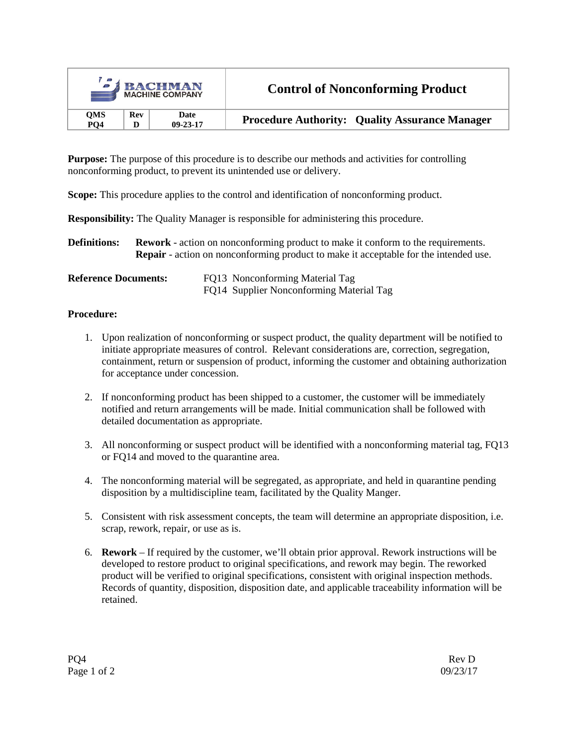| <b>EXPACHMAN</b><br><b>MACHINE COMPANY</b> |            |                | <b>Control of Nonconforming Product</b>               |  |
|--------------------------------------------|------------|----------------|-------------------------------------------------------|--|
| <b>OMS</b>                                 | <b>Rev</b> | Date           | <b>Procedure Authority: Quality Assurance Manager</b> |  |
| PO <sub>4</sub>                            | D          | $09 - 23 - 17$ |                                                       |  |

**Purpose:** The purpose of this procedure is to describe our methods and activities for controlling nonconforming product, to prevent its unintended use or delivery.

**Scope:** This procedure applies to the control and identification of nonconforming product.

**Responsibility:** The Quality Manager is responsible for administering this procedure.

**Definitions: Rework** - action on nonconforming product to make it conform to the requirements. **Repair** - action on nonconforming product to make it acceptable for the intended use.

| <b>Reference Documents:</b> | FQ13 Nonconforming Material Tag          |
|-----------------------------|------------------------------------------|
|                             | FQ14 Supplier Nonconforming Material Tag |

## **Procedure:**

- 1. Upon realization of nonconforming or suspect product, the quality department will be notified to initiate appropriate measures of control. Relevant considerations are, correction, segregation, containment, return or suspension of product, informing the customer and obtaining authorization for acceptance under concession.
- 2. If nonconforming product has been shipped to a customer, the customer will be immediately notified and return arrangements will be made. Initial communication shall be followed with detailed documentation as appropriate.
- 3. All nonconforming or suspect product will be identified with a nonconforming material tag, FQ13 or FQ14 and moved to the quarantine area.
- 4. The nonconforming material will be segregated, as appropriate, and held in quarantine pending disposition by a multidiscipline team, facilitated by the Quality Manger.
- 5. Consistent with risk assessment concepts, the team will determine an appropriate disposition, i.e. scrap, rework, repair, or use as is.
- 6. **Rework** If required by the customer, we'll obtain prior approval. Rework instructions will be developed to restore product to original specifications, and rework may begin. The reworked product will be verified to original specifications, consistent with original inspection methods. Records of quantity, disposition, disposition date, and applicable traceability information will be retained.